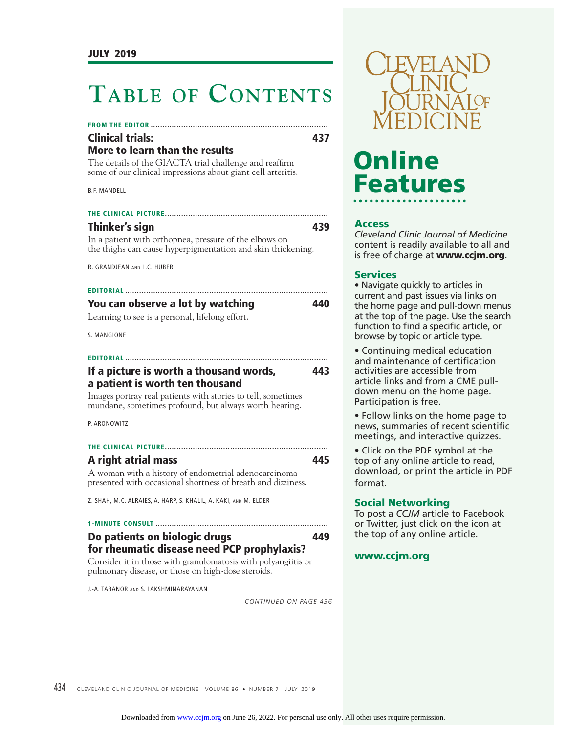### **TABLE OF CONTENTS**

#### **FROM THE EDITOR ............................................................................ Clinical trials: 437**

#### **More to learn than the results**

The details of the GIACTA trial challenge and reaffirm some of our clinical impressions about giant cell arteritis.

B.F. MANDELL

| Thinker's sign | 439 |
|----------------|-----|

In a patient with orthopnea, pressure of the elbows on the thighs can cause hyperpigmentation and skin thickening.

R. GRANDJEAN AND L.C. HUBER

| You can observe a lot by watching               | 440 |
|-------------------------------------------------|-----|
| Learning to see is a personal, lifelong effort. |     |

S. MANGIONE

| If a picture is worth a thousand words, | 443 |
|-----------------------------------------|-----|

#### **a patient is worth ten thousand**

Images portray real patients with stories to tell, sometimes mundane, sometimes profound, but always worth hearing.

P. ARONOWITZ

#### **THE CLINICAL PICTURE ......................................................................**

#### **A right atrial mass 445**

A woman with a history of endometrial adenocarcinoma presented with occasional shortness of breath and dizziness.

Z. SHAH, M.C. ALRAIES, A. HARP, S. KHALIL, A. KAKI, AND M. ELDER

#### **1-MINUTE CONSULT .......................................................................... Do patients on biologic drugs 449 for rheumatic disease need PCP prophylaxis?**

Consider it in those with granulomatosis with polyangiitis or pulmonary disease, or those on high-dose steroids.

J.-A. TABANOR AND S. LAKSHMINARAYANAN

*CONTINUED ON PAGE 436*



# **Online Features**

#### **Access**

*Cleveland Clinic Journal of Medicine*  content is readily available to all and is free of charge at **www.ccjm.org**.

#### **Services**

• Navigate quickly to articles in current and past issues via links on the home page and pull-down menus at the top of the page. Use the search function to find a specific article, or browse by topic or article type.

• Continuing medical education and maintenance of certification activities are accessible from article links and from a CME pulldown menu on the home page. Participation is free.

• Follow links on the home page to news, summaries of recent scientific meetings, and interactive quizzes.

• Click on the PDF symbol at the top of any online article to read, download, or print the article in PDF format.

#### **Social Networking**

To post a *CCJM* article to Facebook or Twitter, just click on the icon at the top of any online article.

#### **www.ccjm.org**

434 CLEVELAND CLINIC JOURNAL OF MEDICINE VOLUME 86 · NUMBER 7 JULY 2019